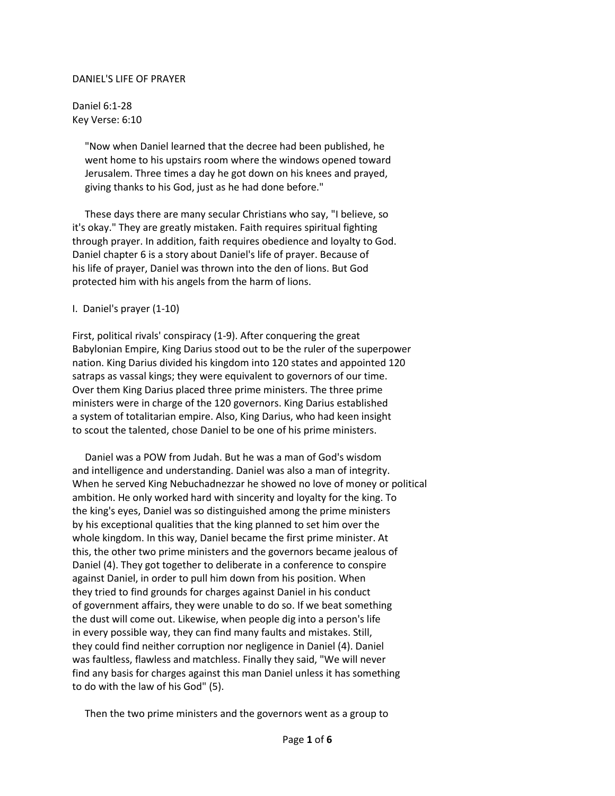## DANIEL'S LIFE OF PRAYER

Daniel 6:1-28 Key Verse: 6:10

> "Now when Daniel learned that the decree had been published, he went home to his upstairs room where the windows opened toward Jerusalem. Three times a day he got down on his knees and prayed, giving thanks to his God, just as he had done before."

 These days there are many secular Christians who say, "I believe, so it's okay." They are greatly mistaken. Faith requires spiritual fighting through prayer. In addition, faith requires obedience and loyalty to God. Daniel chapter 6 is a story about Daniel's life of prayer. Because of his life of prayer, Daniel was thrown into the den of lions. But God protected him with his angels from the harm of lions.

## I. Daniel's prayer (1-10)

First, political rivals' conspiracy (1-9). After conquering the great Babylonian Empire, King Darius stood out to be the ruler of the superpower nation. King Darius divided his kingdom into 120 states and appointed 120 satraps as vassal kings; they were equivalent to governors of our time. Over them King Darius placed three prime ministers. The three prime ministers were in charge of the 120 governors. King Darius established a system of totalitarian empire. Also, King Darius, who had keen insight to scout the talented, chose Daniel to be one of his prime ministers.

 Daniel was a POW from Judah. But he was a man of God's wisdom and intelligence and understanding. Daniel was also a man of integrity. When he served King Nebuchadnezzar he showed no love of money or political ambition. He only worked hard with sincerity and loyalty for the king. To the king's eyes, Daniel was so distinguished among the prime ministers by his exceptional qualities that the king planned to set him over the whole kingdom. In this way, Daniel became the first prime minister. At this, the other two prime ministers and the governors became jealous of Daniel (4). They got together to deliberate in a conference to conspire against Daniel, in order to pull him down from his position. When they tried to find grounds for charges against Daniel in his conduct of government affairs, they were unable to do so. If we beat something the dust will come out. Likewise, when people dig into a person's life in every possible way, they can find many faults and mistakes. Still, they could find neither corruption nor negligence in Daniel (4). Daniel was faultless, flawless and matchless. Finally they said, "We will never find any basis for charges against this man Daniel unless it has something to do with the law of his God" (5).

Then the two prime ministers and the governors went as a group to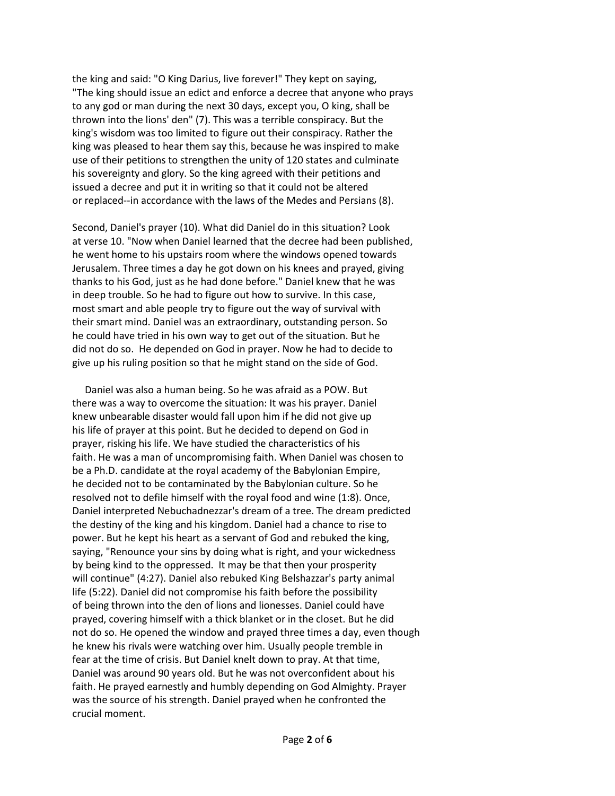the king and said: "O King Darius, live forever!" They kept on saying, "The king should issue an edict and enforce a decree that anyone who prays to any god or man during the next 30 days, except you, O king, shall be thrown into the lions' den" (7). This was a terrible conspiracy. But the king's wisdom was too limited to figure out their conspiracy. Rather the king was pleased to hear them say this, because he was inspired to make use of their petitions to strengthen the unity of 120 states and culminate his sovereignty and glory. So the king agreed with their petitions and issued a decree and put it in writing so that it could not be altered or replaced--in accordance with the laws of the Medes and Persians (8).

Second, Daniel's prayer (10). What did Daniel do in this situation? Look at verse 10. "Now when Daniel learned that the decree had been published, he went home to his upstairs room where the windows opened towards Jerusalem. Three times a day he got down on his knees and prayed, giving thanks to his God, just as he had done before." Daniel knew that he was in deep trouble. So he had to figure out how to survive. In this case, most smart and able people try to figure out the way of survival with their smart mind. Daniel was an extraordinary, outstanding person. So he could have tried in his own way to get out of the situation. But he did not do so. He depended on God in prayer. Now he had to decide to give up his ruling position so that he might stand on the side of God.

 Daniel was also a human being. So he was afraid as a POW. But there was a way to overcome the situation: It was his prayer. Daniel knew unbearable disaster would fall upon him if he did not give up his life of prayer at this point. But he decided to depend on God in prayer, risking his life. We have studied the characteristics of his faith. He was a man of uncompromising faith. When Daniel was chosen to be a Ph.D. candidate at the royal academy of the Babylonian Empire, he decided not to be contaminated by the Babylonian culture. So he resolved not to defile himself with the royal food and wine (1:8). Once, Daniel interpreted Nebuchadnezzar's dream of a tree. The dream predicted the destiny of the king and his kingdom. Daniel had a chance to rise to power. But he kept his heart as a servant of God and rebuked the king, saying, "Renounce your sins by doing what is right, and your wickedness by being kind to the oppressed. It may be that then your prosperity will continue" (4:27). Daniel also rebuked King Belshazzar's party animal life (5:22). Daniel did not compromise his faith before the possibility of being thrown into the den of lions and lionesses. Daniel could have prayed, covering himself with a thick blanket or in the closet. But he did not do so. He opened the window and prayed three times a day, even though he knew his rivals were watching over him. Usually people tremble in fear at the time of crisis. But Daniel knelt down to pray. At that time, Daniel was around 90 years old. But he was not overconfident about his faith. He prayed earnestly and humbly depending on God Almighty. Prayer was the source of his strength. Daniel prayed when he confronted the crucial moment.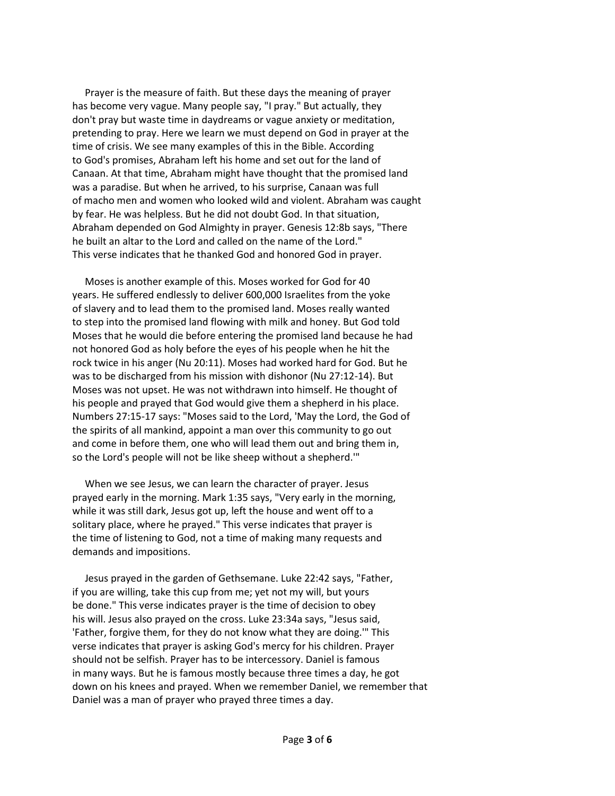Prayer is the measure of faith. But these days the meaning of prayer has become very vague. Many people say, "I pray." But actually, they don't pray but waste time in daydreams or vague anxiety or meditation, pretending to pray. Here we learn we must depend on God in prayer at the time of crisis. We see many examples of this in the Bible. According to God's promises, Abraham left his home and set out for the land of Canaan. At that time, Abraham might have thought that the promised land was a paradise. But when he arrived, to his surprise, Canaan was full of macho men and women who looked wild and violent. Abraham was caught by fear. He was helpless. But he did not doubt God. In that situation, Abraham depended on God Almighty in prayer. Genesis 12:8b says, "There he built an altar to the Lord and called on the name of the Lord." This verse indicates that he thanked God and honored God in prayer.

 Moses is another example of this. Moses worked for God for 40 years. He suffered endlessly to deliver 600,000 Israelites from the yoke of slavery and to lead them to the promised land. Moses really wanted to step into the promised land flowing with milk and honey. But God told Moses that he would die before entering the promised land because he had not honored God as holy before the eyes of his people when he hit the rock twice in his anger (Nu 20:11). Moses had worked hard for God. But he was to be discharged from his mission with dishonor (Nu 27:12-14). But Moses was not upset. He was not withdrawn into himself. He thought of his people and prayed that God would give them a shepherd in his place. Numbers 27:15-17 says: "Moses said to the Lord, 'May the Lord, the God of the spirits of all mankind, appoint a man over this community to go out and come in before them, one who will lead them out and bring them in, so the Lord's people will not be like sheep without a shepherd.'"

 When we see Jesus, we can learn the character of prayer. Jesus prayed early in the morning. Mark 1:35 says, "Very early in the morning, while it was still dark, Jesus got up, left the house and went off to a solitary place, where he prayed." This verse indicates that prayer is the time of listening to God, not a time of making many requests and demands and impositions.

 Jesus prayed in the garden of Gethsemane. Luke 22:42 says, "Father, if you are willing, take this cup from me; yet not my will, but yours be done." This verse indicates prayer is the time of decision to obey his will. Jesus also prayed on the cross. Luke 23:34a says, "Jesus said, 'Father, forgive them, for they do not know what they are doing.'" This verse indicates that prayer is asking God's mercy for his children. Prayer should not be selfish. Prayer has to be intercessory. Daniel is famous in many ways. But he is famous mostly because three times a day, he got down on his knees and prayed. When we remember Daniel, we remember that Daniel was a man of prayer who prayed three times a day.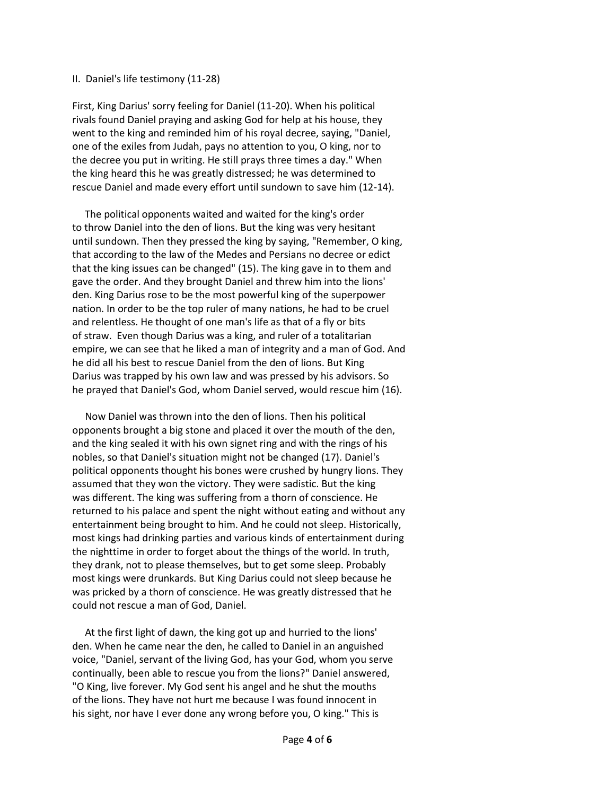## II. Daniel's life testimony (11-28)

First, King Darius' sorry feeling for Daniel (11-20). When his political rivals found Daniel praying and asking God for help at his house, they went to the king and reminded him of his royal decree, saying, "Daniel, one of the exiles from Judah, pays no attention to you, O king, nor to the decree you put in writing. He still prays three times a day." When the king heard this he was greatly distressed; he was determined to rescue Daniel and made every effort until sundown to save him (12-14).

 The political opponents waited and waited for the king's order to throw Daniel into the den of lions. But the king was very hesitant until sundown. Then they pressed the king by saying, "Remember, O king, that according to the law of the Medes and Persians no decree or edict that the king issues can be changed" (15). The king gave in to them and gave the order. And they brought Daniel and threw him into the lions' den. King Darius rose to be the most powerful king of the superpower nation. In order to be the top ruler of many nations, he had to be cruel and relentless. He thought of one man's life as that of a fly or bits of straw. Even though Darius was a king, and ruler of a totalitarian empire, we can see that he liked a man of integrity and a man of God. And he did all his best to rescue Daniel from the den of lions. But King Darius was trapped by his own law and was pressed by his advisors. So he prayed that Daniel's God, whom Daniel served, would rescue him (16).

 Now Daniel was thrown into the den of lions. Then his political opponents brought a big stone and placed it over the mouth of the den, and the king sealed it with his own signet ring and with the rings of his nobles, so that Daniel's situation might not be changed (17). Daniel's political opponents thought his bones were crushed by hungry lions. They assumed that they won the victory. They were sadistic. But the king was different. The king was suffering from a thorn of conscience. He returned to his palace and spent the night without eating and without any entertainment being brought to him. And he could not sleep. Historically, most kings had drinking parties and various kinds of entertainment during the nighttime in order to forget about the things of the world. In truth, they drank, not to please themselves, but to get some sleep. Probably most kings were drunkards. But King Darius could not sleep because he was pricked by a thorn of conscience. He was greatly distressed that he could not rescue a man of God, Daniel.

 At the first light of dawn, the king got up and hurried to the lions' den. When he came near the den, he called to Daniel in an anguished voice, "Daniel, servant of the living God, has your God, whom you serve continually, been able to rescue you from the lions?" Daniel answered, "O King, live forever. My God sent his angel and he shut the mouths of the lions. They have not hurt me because I was found innocent in his sight, nor have I ever done any wrong before you, O king." This is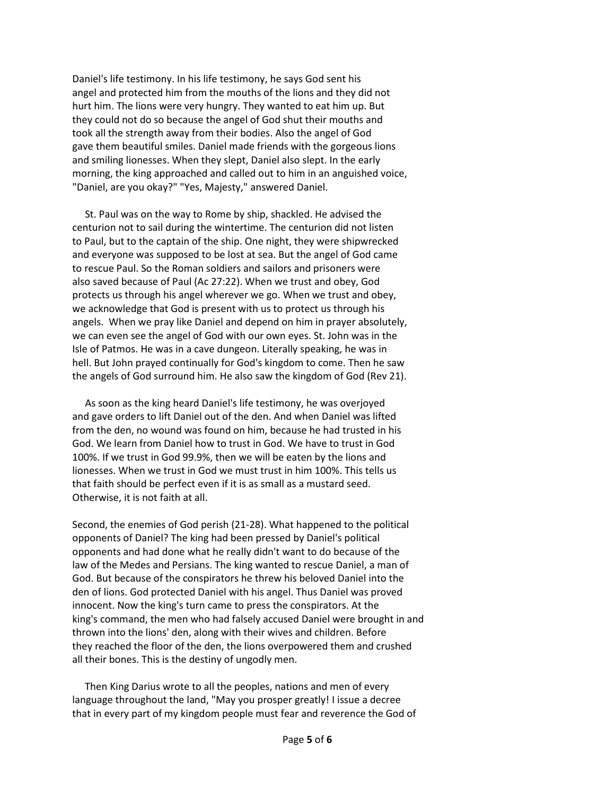Daniel's life testimony. In his life testimony, he says God sent his angel and protected him from the mouths of the lions and they did not hurt him. The lions were very hungry. They wanted to eat him up. But they could not do so because the angel of God shut their mouths and took all the strength away from their bodies. Also the angel of God gave them beautiful smiles. Daniel made friends with the gorgeous lions and smiling lionesses. When they slept, Daniel also slept. In the early morning, the king approached and called out to him in an anguished voice, "Daniel, are you okay?" "Yes, Majesty," answered Daniel.

 St. Paul was on the way to Rome by ship, shackled. He advised the centurion not to sail during the wintertime. The centurion did not listen to Paul, but to the captain of the ship. One night, they were shipwrecked and everyone was supposed to be lost at sea. But the angel of God came to rescue Paul. So the Roman soldiers and sailors and prisoners were also saved because of Paul (Ac 27:22). When we trust and obey, God protects us through his angel wherever we go. When we trust and obey, we acknowledge that God is present with us to protect us through his angels. When we pray like Daniel and depend on him in prayer absolutely, we can even see the angel of God with our own eyes. St. John was in the Isle of Patmos. He was in a cave dungeon. Literally speaking, he was in hell. But John prayed continually for God's kingdom to come. Then he saw the angels of God surround him. He also saw the kingdom of God (Rev 21).

 As soon as the king heard Daniel's life testimony, he was overjoyed and gave orders to lift Daniel out of the den. And when Daniel was lifted from the den, no wound was found on him, because he had trusted in his God. We learn from Daniel how to trust in God. We have to trust in God 100%. If we trust in God 99.9%, then we will be eaten by the lions and lionesses. When we trust in God we must trust in him 100%. This tells us that faith should be perfect even if it is as small as a mustard seed. Otherwise, it is not faith at all.

Second, the enemies of God perish (21-28). What happened to the political opponents of Daniel? The king had been pressed by Daniel's political opponents and had done what he really didn't want to do because of the law of the Medes and Persians. The king wanted to rescue Daniel, a man of God. But because of the conspirators he threw his beloved Daniel into the den of lions. God protected Daniel with his angel. Thus Daniel was proved innocent. Now the king's turn came to press the conspirators. At the king's command, the men who had falsely accused Daniel were brought in and thrown into the lions' den, along with their wives and children. Before they reached the floor of the den, the lions overpowered them and crushed all their bones. This is the destiny of ungodly men.

 Then King Darius wrote to all the peoples, nations and men of every language throughout the land, "May you prosper greatly! I issue a decree that in every part of my kingdom people must fear and reverence the God of